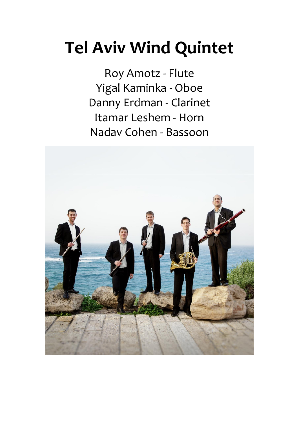# **Tel Aviv Wind Quintet**

Roy Amotz - Flute Yigal Kaminka - Oboe Danny Erdman - Clarinet Itamar Leshem - Horn Nadav Cohen - Bassoon

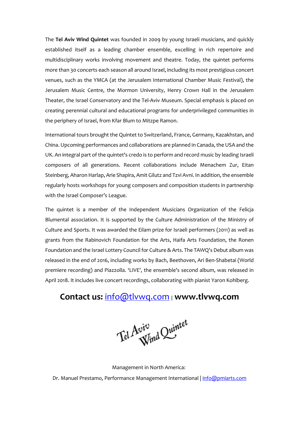The **Tel Aviv Wind Quintet** was founded in 2009 by young Israeli musicians, and quickly established itself as a leading chamber ensemble, excelling in rich repertoire and multidisciplinary works involving movement and theatre. Today, the quintet performs more than 30 concerts each season all around Israel, including its most prestigious concert venues, such as the YMCA (at the Jerusalem International Chamber Music Festival), the Jerusalem Music Centre, the Mormon University, Henry Crown Hall in the Jerusalem Theater, the Israel Conservatory and the Tel-Aviv Museum. Special emphasis is placed on creating perennial cultural and educational programs for underprivileged communities in the periphery of Israel, from Kfar Blum to Mitzpe Ramon.

International tours brought the Quintet to Switzerland, France, Germany, Kazakhstan, and China. Upcoming performances and collaborations are planned in Canada, the USA and the UK. An integral part of the quintet's credo is to perform and record music by leading Israeli composers of all generations. Recent collaborations include Menachem Zur, Eitan Steinberg, Aharon Harlap, Arie Shapira, Amit Gilutz and Tzvi Avni. In addition, the ensemble regularly hosts workshops for young composers and composition students in partnership with the Israel Composer's League.

The quintet is a member of the Independent Musicians Organization of the Felicja Blumental association. It is supported by the Culture Administration of the Ministry of Culture and Sports. It was awarded the Eilam prize for Israeli performers (2011) as well as grants from the Rabinovich Foundation for the Arts, Haifa Arts Foundation, the Ronen Foundation and the Israel Lottery Council for Culture & Arts. The TAWQ's Debut album was released in the end of 2016, including works by Bach, Beethoven, Ari Ben-Shabetai (World premiere recording) and Piazzolla. 'LIVE', the ensemble's second album, was released in April 2018. It includes live concert recordings, collaborating with pianist Yaron Kohlberg.

#### **Contact us:** [info@tlvwq.com](mailto:info@tlvwq.com) <sup>|</sup>**www.tlvwq.com**

Tel Aviv<br>Wind Quintet

Management in North America: Dr. Manuel Prestamo, Performance Management International | [info@pmiarts.com](mailto:info@pmiarts.com)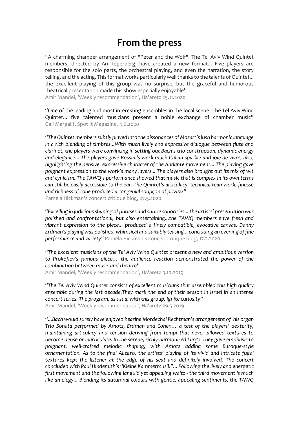## **From the press**

"A charming chamber arrangement of "Peter and the Wolf". The Tel Aviv Wind Quintet members, directed by Ari Teperberg, have created a new format... Five players are responsible for the solo parts, the orchestral playing, and even the narration, the story telling, and the acting. This format works particularly well thanks to the talents of Quintet... the excellent playing of this group was no surprise, but the graceful and humorous theatrical presentation made this show especially enjoyable" Amir Mandel, 'Weekly recommendation', Ha'aretz 25.11.2020

"One of the leading and most interesting ensembles in the local scene - the Tel Aviv Wind Quintet... five talented musicians present a noble exchange of chamber music" Gali Margalit, Spot It Magazine, 4.6.2020

*"The Quintet members subtly played into the dissonances of Mozart's lush harmonic language in a rich blending of timbres...With much lively and expressive dialogue between flute and clarinet, the players were convincing in setting out Bach's trio construction, dynamic energy and elegance... The players gave Rossini's work much Italian sparkle and joie-de-vivre, also, highlighting the pensive, expressive character of the Andante movement... The playing gave poignant expression to the work's many layers... The players also brought out its mix of wit and cynicism. The TAWQ's performance showed that music that is complex in its own terms can still be easily accessible to the ear. The Quintet's articulacy, technical teamwork, finesse and richness of tone produced a congenial soupçon of pizzazz"*

Pamela Hickman's concert critique blog, 27.5.2020

*"Excelling in judicious shaping of phrases and subtle sonorities... the artists' presentation was polished and confrontational, but also entertaining...the TAWQ members gave fresh and vibrant expression to the piece... produced a finely compatible, evocative canvas. Danny Erdman's playing was polished, whimsical and suitably teasing... concluding an evening of fine performance and variety"* Pamela Hickman's concert critique blog, 17.2.2020

*"The excellent musicians of the Tel Aviv Wind Quintet present a new and ambitious version to Prokofiev's famous piece… the audience reaction demonstrated the power of the combination between music and theatre"*

Amir Mandel, 'Weekly recommendation', Ha'aretz 3.10.2019

*"The Tel Aviv Wind Quintet consists of excellent musicians that assembled this high quality ensemble during the last decade.They mark the end of their season in Israel in an intense concert series. The program, as usual with this group, Ignite curiosity"* Amir Mandel, 'Weekly recommendation', Ha'aretz 29.5.2019

*"...Bach would surely have enjoyed hearing Mordechai Rechtman's arrangement of his organ Trio Sonata performed by Amotz, Erdman and Cohen… a test of the players' dexterity, maintaining articulacy and tension deriving from tempi that never allowed textures to become dense or inarticulate. In the serene, richly-harmonized Largo, they gave emphasis to poignant, well-crafted melodic shaping, with Amotz adding some Baroque-style ornamentation. As to the final Allegro, the artists' playing of its vivid and intricate fugal textures kept the listener at the edge of his seat and definitely involved. The concert concluded with Paul Hindemith's "Kleine Kammermusik"... Following the lively and energetic first movement and the following languid yet appealing waltz - the third movement is much like an elegy... Blending its autumnal colours with gentle, appealing sentiments, the TAWQ*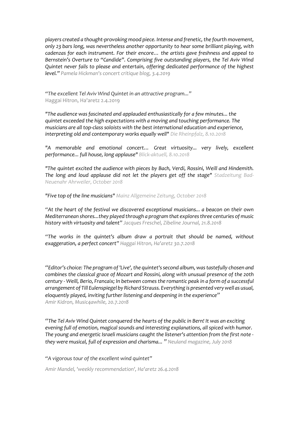*players created a thought-provoking mood piece. Intense and frenetic, the fourth movement, only 23 bars long, was nevertheless another opportunity to hear some brilliant playing, with cadenzas for each instrument. For their encore… the artists gave freshness and appeal to Bernstein's Overture to "Candide". Comprising five outstanding players, the Tel Aviv Wind Quintet never fails to please and entertain, offering dedicated performance of the highest level." Pamela Hickman's concert critique blog, 3.4.2019*

*"The excellent Tel Aviv Wind Quintet in an attractive program..."* Haggai Hitron, Ha'aretz 2.4.2019

*"The audience was fascinated and applauded enthusiastically for a few minutes... the quintet exceeded the high expectations with a moving and touching performance. The musicians are all top-class soloists with the best international education and experience, interpreting old and contemporary works equally well" Die Rheinpfalz, 8.10.2018*

*"A memorable and emotional concert… Great virtuosity... very lively, excellent performance... full house, long applause" Blick-aktuell, 8.10.2018*

*"The quintet excited the audience with pieces by Bach, Verdi, Rossini, Weill and Hindemith. The long and loud applause did not let the players get off the stage" Stadzeitung Bad-Neuenahr Ahrweiler, October 2018*

*"Five top of the line musicians" Mainz Allgemeine Zeitung, October 2018*

*"At the heart of the festival we discovered exceptional musicians... a beacon on their own Mediterranean shores...they played through a program that explores three centuries of music history with virtuosity and talent" Jacques Freschel, Zibeline Journal, [21.8.2018](https://www.journalzibeline.fr/critique/un-ete-a-chaillol/)*

*"The works in the quintet's album draw a portrait that should be named, without exaggeration, a perfect concert" Haggai Hitron, Ha'aretz [30.7.2018](https://docs.wixstatic.com/ugd/b40c30_58e647dcec7148e7a7af1aef026eb3b7.pdf)*

*"* Editor's choice: The program of 'Live', the quintet's second album, was tastefully chosen and *combines the classical grace of Mozart and Rossini, along with unusual presence of the 20th century - Weill, Berio, Francaix; In between comes the romantic peak in a form of a successful arrangement of Till Eulenspiegel by Richard Strauss. Everything is presented verywell as usual, eloquently played, inviting further listening and deepening in the experience" Amir Kidron, Music4awhile, 20.7.2018*

*"The Tel Aviv Wind Quintet conquered the hearts of the public in Bern! It was an exciting evening full of emotion, magical sounds and interesting explanations, all spiced with humor. The young and energetic Israeli musicians caught the listener's attention from the first note they were musical, full of expression and charisma... " Neuland [magazine,](https://docs.wixstatic.com/ugd/b40c30_6308244042d040eb863b19e49292563a.pdf) July 2018*

*"A vigorous tour of the excellent wind quintet"*

*Amir Mandel, 'weekly recommendation', Ha'aretz 26.4.2018*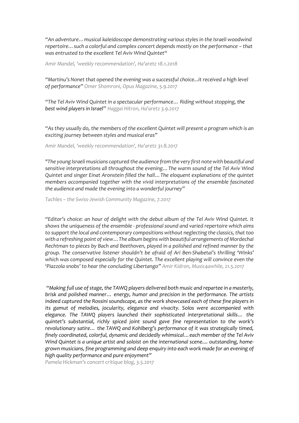*"An adventure…musical kaleidoscope demonstrating various styles in the Israeli woodwind repertoire…such a colorful and complex concert depends mostly on the performance – that was entrusted to the excellent Tel Aviv Wind Quintet"*

*Amir Mandel, 'weekly recommendation', Ha'aretz 18.1.2018*

*"Martinu's Nonet that opened the evening was a successful choice...it received a high level of performance" Omer Shomroni, Opus Magazine, 5.9.2017*

*"The Tel Aviv Wind Quintet in a spectacular performance… Riding without stopping, the best wind players in Israel" Haggai Hitron, Ha'aretz 3.9.2017*

*"As they usually do, the members of the excellent Quintet will present a program which is an exciting journey between styles and musical eras"*

*Amir Mandel, 'weekly recommendation', Ha'aretz 31.8.2017*

*"The young Israeli musicians captured the audience from the very first note with beautiful and sensitive interpretations all throughout the evening…The warm sound of the Tel Aviv Wind Quintet and singer Einat Aronstein filled the hall…The eloquent explanations of the quintet members accompanied together with the vivid interpretations of the ensemble fascinated the audience and made the evening into a wonderful journey"* 

*Tachles – the Swiss-Jewish Community Magazine, 7.2017*

*"Editor's choice: an hour of delight with the debut album of the Tel Aviv Wind Quintet. It shows the uniqueness of the ensemble - professional sound and varied repertoire which aims to support the local and contemporary compositions without neglecting the classics, that too with a refreshing point of view…The album begins with beautiful arrangements of Mordechai Rechtman to pieces by Bach and Beethoven, played in a polished and refined manner by the group. The conservative listener shouldn't be afraid of Ari Ben-Shabetai's thrilling 'Winks' which was composed especially for the Quintet. The excellent playing will convince even the 'Piazzola snobs' to hear the concluding Libertango" Amir Kidron, Music4awhile, 21.5.2017*

*"Making full use of stage, the TAWQ players delivered both music and repartee in a masterly, brisk and polished manner… energy, humor and precision in the performance. The artists indeed captured the Rossini soundscape, as the work showcased each of these fine players in its gamut of melodies, jocularity, elegance and vivacity. Solos were accompanied with elegance. The TAWQ players launched their sophisticated interpretational skills… the quintet's substantial, richly spiced joint sound gave fine representation to the work's revolutionary satire… the TAWQ and Kohlberg's performance of it was strategically timed, finely coordinated, colorful, dynamic and decidedly whimsical…each member of the Tel Aviv Wind Quintet is a unique artist and soloist on the international scene.... outstanding, homegrown musicians, fine programming and deep enquiry into each work made for an evening of high quality performance and pure enjoyment"*

*Pamela Hickman's concert critique blog, 3.5.2017*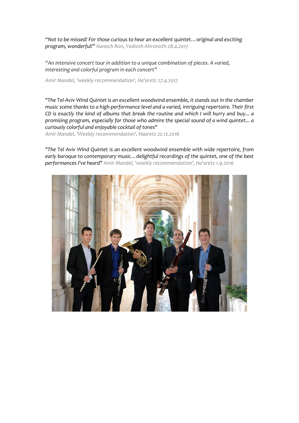*"Not to be missed! For those curious to hear an excellent quintet…original and exciting program, wonderful!" Hanoch Ron, Yedioth Ahronoth 28.4.2017*

*"An intensive concert tour in addition to a unique combination of pieces. A varied, interesting and colorful program in each concert"*

*Amir Mandel, 'weekly recommendation', Ha'aretz 27.4.2017*

*"The Tel-Aviv Wind Quintet is an excellent woodwind ensemble, it stands out in the chamber music scene thanks to a high-performance level and a varied, intriguing repertoire. Their first CD is exactly the kind of albums that break the routine and which I will hurry and buy... a promising program, especially for those who admire the special sound of a wind quintet... a curiously colorful and enjoyable cocktail of tones"*

*Amir Mandel, 'Weekly recommendation', Haaretz 22.12.2016*

*"The Tel Aviv Wind Quintet is an excellent woodwind ensemble with wide repertoire, from early baroque to contemporary music…delightful recordings of the quintet, one of the best performances I've heard" Amir Mandel, 'weekly recommendation', Ha'aretz 1.9.2016*

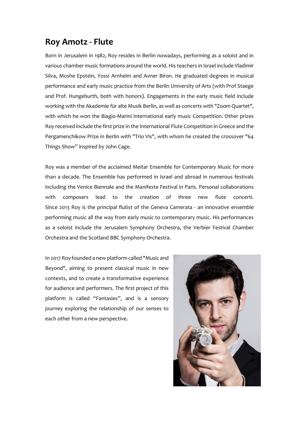### **Roy Amotz - Flute**

Born in Jerusalem in 1982, Roy resides in Berlin nowadays, performing as a soloist and in various chamber music formations around the world. His teachers in Israel include Vladimir Silva, Moshe Epstein, Yossi Arnheim and Avner Biron. He graduated degrees in musical performance and early music practice from the Berlin University of Arts (with Prof Staege and Prof. Hungeburth, both with honors). Engagements in the early music field include working with the Akademie für alte Musik Berlin, as well as concerts with "Zoom Quartet", with which he won the Biagio-Marini international early music Competition. Other prizes Roy received include the first prize in the International Flute Competition in Greece and the Pergamenchikow Prize in Berlin with "Trio Vis", with whom he created the crossover "64 Things Show" inspired by John Cage.

Roy was a member of the acclaimed Meitar Ensemble for Contemporary Music for more than a decade. The Ensemble has performed in Israel and abroad in numerous festivals including the Venice Biennale and the Manifeste Festival in Paris. Personal collaborations with composers lead to the creation of three new flute concerti. Since 2013 Roy is the principal flutist of the Geneva Camerata - an innovative ensemble performing music all the way from early music to contemporary music. His performances as a soloist include the Jerusalem Symphony Orchestra, the Verbier Festival Chamber Orchestra and the Scotland BBC Symphony Orchestra.

In 2017 Roy founded a new platform called "Music and Beyond", aiming to present classical music in new contexts, and to create a transformative experience for audience and performers. The first project of this platform is called "Fantasies", and is a sensory journey exploring the relationship of our senses to each other from a new perspective.

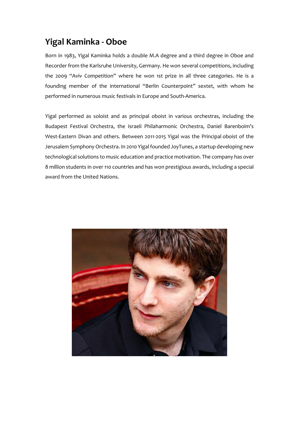## **Yigal Kaminka - Oboe**

Born in 1983, Yigal Kaminka holds a double M.A degree and a third degree in Oboe and Recorder from the Karlsruhe University, Germany. He won several competitions, including the 2009 "Aviv Competition" where he won 1st prize in all three categories. He is a founding member of the international "Berlin Counterpoint" sextet, with whom he performed in numerous music festivals in Europe and South-America.

Yigal performed as soloist and as principal oboist in various orchestras, including the Budapest Festival Orchestra, the Israeli Philaharmonic Orchestra, Daniel Barenboim's West-Eastern Divan and others. Between 2011-2015 Yigal was the Principal oboist of the Jerusalem Symphony Orchestra. In 2010 Yigal founded JoyTunes, a startup developing new technological solutions to music education and practice motivation. The company has over 8 million students in over 110 countries and has won prestigious awards, including a special award from the United Nations.

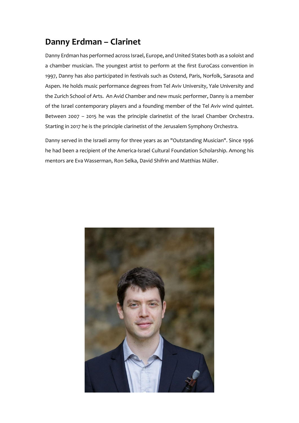## **Danny Erdman – Clarinet**

Danny Erdman has performed across Israel, Europe, and United States both as a soloist and a chamber musician. The youngest artist to perform at the first EuroCass convention in 1997, Danny has also participated in festivals such as Ostend, Paris, Norfolk, Sarasota and Aspen. He holds music performance degrees from Tel Aviv University, Yale University and the Zurich School of Arts. An Avid Chamber and new music performer, Danny is a member of the Israel contemporary players and a founding member of the Tel Aviv wind quintet. Between 2007 – 2015 he was the principle clarinetist of the Israel Chamber Orchestra. Starting in 2017 he is the principle clarinetist of the Jerusalem Symphony Orchestra.

Danny served in the Israeli army for three years as an "Outstanding Musician". Since 1996 he had been a recipient of the America-Israel Cultural Foundation Scholarship. Among his mentors are Eva Wasserman, Ron Selka, David Shifrin and Matthias Müller.

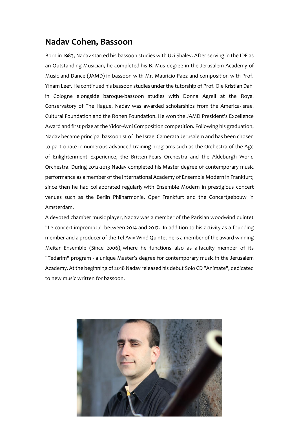## **Nadav Cohen, Bassoon**

Born in 1983, Nadav started his bassoon studies with Uzi Shalev. After serving in the IDF as an Outstanding Musician, he completed his B. Mus degree in the Jerusalem Academy of Music and Dance (JAMD) in bassoon with Mr. Mauricio Paez and composition with Prof. Yinam Leef. He continued his bassoon studies under the tutorship of Prof. Ole Kristian Dahl in Cologne alongside baroque-bassoon studies with Donna Agrell at the Royal Conservatory of The Hague. Nadav was awarded scholarships from the America-Israel Cultural Foundation and the Ronen Foundation. He won the JAMD President's Excellence Award and first prize at the Yidor-Avni Composition competition. Following his graduation, Nadav became principal bassoonist of the Israel Camerata Jerusalem and has been chosen to participate in numerous advanced training programs such as the Orchestra of the Age of Enlightenment Experience, the Britten-Pears Orchestra and the Aldeburgh World Orchestra. During 2012-2013 Nadav completed his Master degree of contemporary music performance as a member of the International Academy of Ensemble Modern in Frankfurt; since then he had collaborated regularly with Ensemble Modern in prestigious concert venues such as the Berlin Philharmonie, Oper Frankfurt and the Concertgebouw in Amsterdam.

A devoted chamber music player, Nadav was a member of the Parisian woodwind quintet "Le concert impromptu" between 2014 and 2017. In addition to his activity as a founding member and a producer of the Tel-Aviv Wind Quintet he is a member of the award winning Meitar Ensemble (Since 2006), where he functions also as a faculty member of its "Tedarim" program - a unique Master's degree for contemporary music in the Jerusalem Academy. At the beginning of 2018 Nadav released his debut Solo CD "Animate", dedicated to new music written for bassoon.